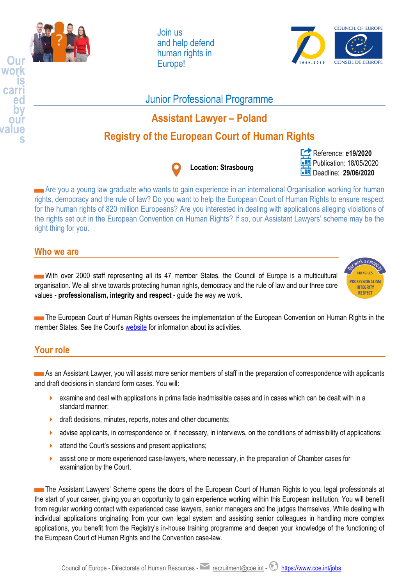

**work is carri ed by our value**

**s**

Join us and help defend human rights in Europe!



## Junior Professional Programme

# **Assistant Lawyer – Poland**

# **Registry of the European Court of Human Rights**



Reference: **e19/2020** Publication: 18/05/2020 Deadline: **29/06/2020**

Are you a young law graduate who wants to gain experience in an international Organisation working for human rights, democracy and the rule of law? Do you want to help the European Court of Human Rights to ensure respect for the human rights of 820 million Europeans? Are you interested in dealing with applications alleging violations of the rights set out in the European Convention on Human Rights? If so, our Assistant Lawyers' scheme may be the right thing for you.

### **Who we are**

With over 2000 staff representing all its 47 member States, the Council of Europe is a multicultural organisation. We all strive towards protecting human rights, democracy and the rule of law and our three core values - **professionalism, integrity and respect** - guide the way we work.



The European Court of Human Rights oversees the implementation of the European Convention on Human Rights in the member States. See the Court's [website](https://www.echr.coe.int/Pages/home.aspx?p=home) for information about its activities.

### **Your role**

As an Assistant Lawyer, you will assist more senior members of staff in the preparation of correspondence with applicants and draft decisions in standard form cases. You will:

- examine and deal with applications in prima facie inadmissible cases and in cases which can be dealt with in a standard manner;
- draft decisions, minutes, reports, notes and other documents;
- **advise applicants, in correspondence or, if necessary, in interviews, on the conditions of admissibility of applications;**
- **A** attend the Court's sessions and present applications;
- **a** assist one or more experienced case-lawyers, where necessary, in the preparation of Chamber cases for examination by the Court.

The Assistant Lawyers' Scheme opens the doors of the European Court of Human Rights to you, legal professionals at the start of your career, giving you an opportunity to gain experience working within this European institution. You will benefit from regular working contact with experienced case lawyers, senior managers and the judges themselves. While dealing with individual applications originating from your own legal system and assisting senior colleagues in handling more complex applications, you benefit from the Registry's in-house training programme and deepen your knowledge of the functioning of the European Court of Human Rights and the Convention case-law.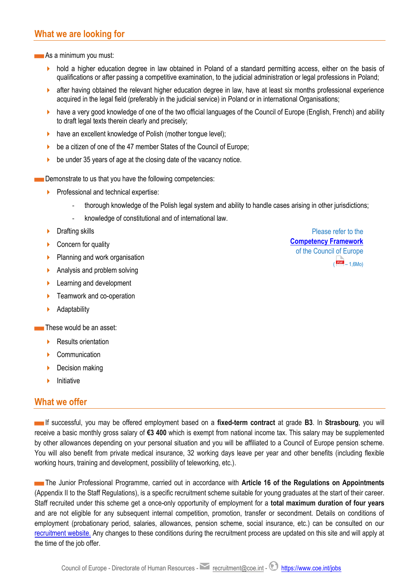### **What we are looking for**

As a minimum you must:

- hold a higher education degree in law obtained in Poland of a standard permitting access, either on the basis of qualifications or after passing a competitive examination, to the judicial administration or legal professions in Poland;
- **a** after having obtained the relevant higher education degree in law, have at least six months professional experience acquired in the legal field (preferably in the judicial service) in Poland or in international Organisations;
- have a very good knowledge of one of the two official languages of the Council of Europe (English, French) and ability to draft legal texts therein clearly and precisely;
- have an excellent knowledge of Polish (mother tongue level);
- be a citizen of one of the 47 member States of the Council of Europe;
- $\triangleright$  be under 35 years of age at the closing date of the vacancy notice.

Demonstrate to us that you have the following competencies:

- $\triangleright$  Professional and technical expertise:
	- thorough knowledge of the Polish legal system and ability to handle cases arising in other jurisdictions;
	- knowledge of constitutional and of international law.
- **Drafting skills**
- ▶ Concern for quality
- Planning and work organisation
- Analysis and problem solving
- **Learning and development**
- Teamwork and co-operation
- **Adaptability**

These would be an asset:

- Results orientation
- Communication
- Decision making
- Initiative

### **What we offer**

If successful, you may be offered employment based on a **fixed-term contract** at grade **B3**. In **Strasbourg**, you will receive a basic monthly gross salary of **€3 400** which is exempt from national income tax. This salary may be supplemented by other allowances depending on your personal situation and you will be affiliated to a Council of Europe pension scheme. You will also benefit from private medical insurance, 32 working days leave per year and other benefits (including flexible working hours, training and development, possibility of teleworking, etc.).

The Junior Professional Programme, carried out in accordance with Article 16 of the Regulations on Appointments (Appendix II to the Staff Regulations), is a specific recruitment scheme suitable for young graduates at the start of their career. Staff recruited under this scheme get a once-only opportunity of employment for a **total maximum duration of four years** and are not eligible for any subsequent internal competition, promotion, transfer or secondment. Details on conditions of employment (probationary period, salaries, allowances, pension scheme, social insurance, etc.) can be consulted on our [recruitment website.](http://www.coe.int/en/web/jobs/conditions-of-employment) Any changes to these conditions during the recruitment process are updated on this site and will apply at the time of the job offer.

Please refer to the **[Competency Framework](https://rm.coe.int/CoERMPublicCommonSearchServices/DisplayDCTMContent?documentId=09000016807815e2)**  of the Council of Europe  $($   $\overline{PDF}$  – 1.6Mo)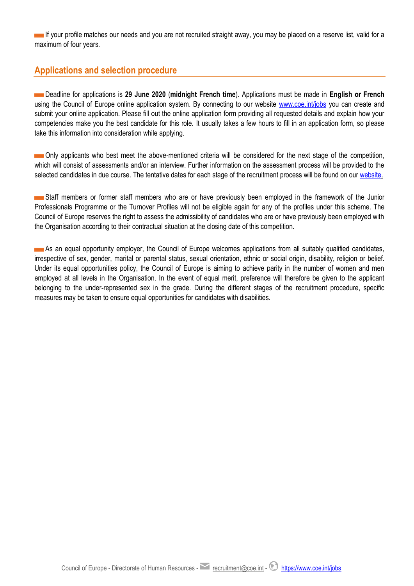If your profile matches our needs and you are not recruited straight away, you may be placed on a reserve list, valid for a maximum of four years.

### **Applications and selection procedure**

Deadline for applications is **29 June 2020** (**midnight French time**). Applications must be made in **English or French** using the Council of Europe online application system. By connecting to our website [www.coe.int/jobs](https://www.coe-recruitment.com/index.aspx?Lang=en) you can create and submit your online application. Please fill out the online application form providing all requested details and explain how your competencies make you the best candidate for this role. It usually takes a few hours to fill in an application form, so please take this information into consideration while applying.

Only applicants who best meet the above-mentioned criteria will be considered for the next stage of the competition, which will consist of assessments and/or an interview. Further information on the assessment process will be provided to the selected candidates in due course. The tentative dates for each stage of the recruitment process will be found on ou[r website.](https://www.coe.int/en/web/jobs/recruitment-in-progress)

Staff members or former staff members who are or have previously been employed in the framework of the Junior Professionals Programme or the Turnover Profiles will not be eligible again for any of the profiles under this scheme. The Council of Europe reserves the right to assess the admissibility of candidates who are or have previously been employed with the Organisation according to their contractual situation at the closing date of this competition.

As an equal opportunity employer, the Council of Europe welcomes applications from all suitably qualified candidates, irrespective of sex, gender, marital or parental status, sexual orientation, ethnic or social origin, disability, religion or belief. Under its equal opportunities policy, the Council of Europe is aiming to achieve parity in the number of women and men employed at all levels in the Organisation. In the event of equal merit, preference will therefore be given to the applicant belonging to the under-represented sex in the grade. During the different stages of the recruitment procedure, specific measures may be taken to ensure equal opportunities for candidates with disabilities.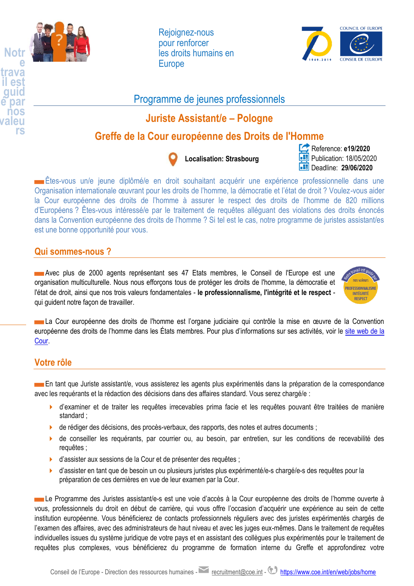

**trava il est guid é par nos valeu rs**

Rejoignez-nous pour renforcer les droits humains en **Europe** 



## Programme de jeunes professionnels

## **Juriste Assistant/e – Pologne**

## **Greffe de la Cour européenne des Droits de l'Homme**



## **Localisation: Strasbourg**

### Reference: **e19/2020 Publication: 18/05/2020** Deadline: **29/06/2020**

Êtes-vous un/e jeune diplômé/e en droit souhaitant acquérir une expérience professionnelle dans une Organisation internationale œuvrant pour les droits de l'homme, la démocratie et l'état de droit ? Voulez-vous aider la Cour européenne des droits de l'homme à assurer le respect des droits de l'homme de 820 millions d'Européens ? Êtes-vous intéressé/e par le traitement de requêtes alléguant des violations des droits énoncés dans la Convention européenne des droits de l'homme ? Si tel est le cas, notre programme de juristes assistant/es est une bonne opportunité pour vous.

### **Qui sommes-nous ?**

Avec plus de 2000 agents représentant ses 47 Etats membres, le Conseil de l'Europe est une organisation multiculturelle. Nous nous efforçons tous de protéger les droits de l'homme, la démocratie et l'état de droit, ainsi que nos trois valeurs fondamentales - **le professionnalisme, l'intégrité et le respect** qui guident notre façon de travailler.



La Cour européenne des droits de l'homme est l'organe judiciaire qui contrôle la mise en œuvre de la Convention européenne des droits de l'homme dans les États membres. Pour plus d'informations sur ses activités, voir le site web de la [Cour.](https://www.echr.coe.int/Pages/home.aspx?p=home&c=fre)

### **Votre rôle**

**En tant que Juriste assistant/e**, vous assisterez les agents plus expérimentés dans la préparation de la correspondance avec les requérants et la rédaction des décisions dans des affaires standard. Vous serez chargé/e :

- d'examiner et de traiter les requêtes irrecevables prima facie et les requêtes pouvant être traitées de manière standard ;
- de rédiger des décisions, des procès-verbaux, des rapports, des notes et autres documents ;
- de conseiller les requérants, par courrier ou, au besoin, par entretien, sur les conditions de recevabilité des requêtes ;
- d'assister aux sessions de la Cour et de présenter des requêtes ;
- d'assister en tant que de besoin un ou plusieurs juristes plus expérimenté/e-s chargé/e-s des requêtes pour la préparation de ces dernières en vue de leur examen par la Cour.

Le Programme des Juristes assistant/e-s est une voie d'accès à la Cour européenne des droits de l'homme ouverte à vous, professionnels du droit en début de carrière, qui vous offre l'occasion d'acquérir une expérience au sein de cette institution européenne. Vous bénéficierez de contacts professionnels réguliers avec des juristes expérimentés chargés de l'examen des affaires, avec des administrateurs de haut niveau et avec les juges eux-mêmes. Dans le traitement de requêtes individuelles issues du système juridique de votre pays et en assistant des collègues plus expérimentés pour le traitement de requêtes plus complexes, vous bénéficierez du programme de formation interne du Greffe et approfondirez votre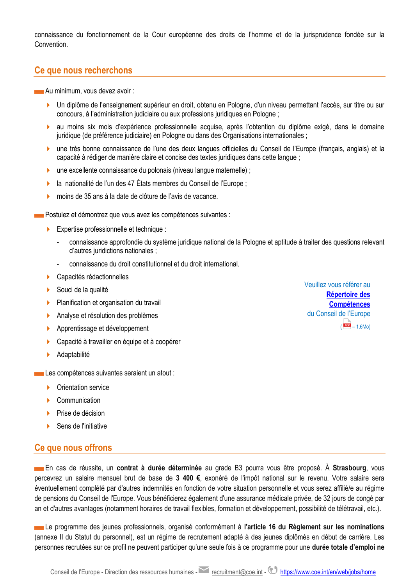connaissance du fonctionnement de la Cour européenne des droits de l'homme et de la jurisprudence fondée sur la **Convention** 

### **Ce que nous recherchons**

Au minimum, vous devez avoir :

- Un diplôme de l'enseignement supérieur en droit, obtenu en Pologne, d'un niveau permettant l'accès, sur titre ou sur concours, à l'administration judiciaire ou aux professions juridiques en Pologne ;
- au moins six mois d'expérience professionnelle acquise, après l'obtention du diplôme exigé, dans le domaine juridique (de préférence judiciaire) en Pologne ou dans des Organisations internationales ;
- une très bonne connaissance de l'une des deux langues officielles du Conseil de l'Europe (français, anglais) et la capacité à rédiger de manière claire et concise des textes juridiques dans cette langue ;
- **D** une excellente connaissance du polonais (niveau langue maternelle) ;
- la nationalité de l'un des 47 États membres du Conseil de l'Europe ;
- **→** moins de 35 ans à la date de clôture de l'avis de vacance.

Postulez et démontrez que vous avez les compétences suivantes :

- Expertise professionnelle et technique :
	- connaissance approfondie du système juridique national de la Pologne et aptitude à traiter des questions relevant d'autres juridictions nationales ;
	- connaissance du droit constitutionnel et du droit international.
- Capacités rédactionnelles
- Souci de la qualité
- Planification et organisation du travail
- Analyse et résolution des problèmes
- **Apprentissage et développement**
- Capacité à travailler en équipe et à coopérer
- Adaptabilité

Les compétences suivantes seraient un atout :

- **Crientation service**
- Communication
- Prise de décision
- Sens de l'initiative

#### **Ce que nous offrons**

En cas de réussite, un **contrat à durée déterminée** au grade B3 pourra vous être proposé. À **Strasbourg**, vous percevrez un salaire mensuel brut de base de **3 400 €**, exonéré de l'impôt national sur le revenu. Votre salaire sera éventuellement complété par d'autres indemnités en fonction de votre situation personnelle et vous serez affilié/e au régime de pensions du Conseil de l'Europe. Vous bénéficierez également d'une assurance médicale privée, de 32 jours de congé par an et d'autres avantages (notamment horaires de travail flexibles, formation et développement, possibilité de télétravail, etc.).

Le programme des jeunes professionnels, organisé conformément à **l'article 16 du Règlement sur les nominations** (annexe II du Statut du personnel), est un régime de recrutement adapté à des jeunes diplômés en début de carrière. Les personnes recrutées sur ce profil ne peuvent participer qu'une seule fois à ce programme pour une **durée totale d'emploi ne** 

Veuillez vous référer au **[Répertoire des](https://rm.coe.int/CoERMPublicCommonSearchServices/DisplayDCTMContent?documentId=09000016807815e2)  [Compétences](https://rm.coe.int/CoERMPublicCommonSearchServices/DisplayDCTMContent?documentId=09000016807815e2)** du Conseil de l'Europe  $($   $\frac{PDF}{I} - 1,6M0)$